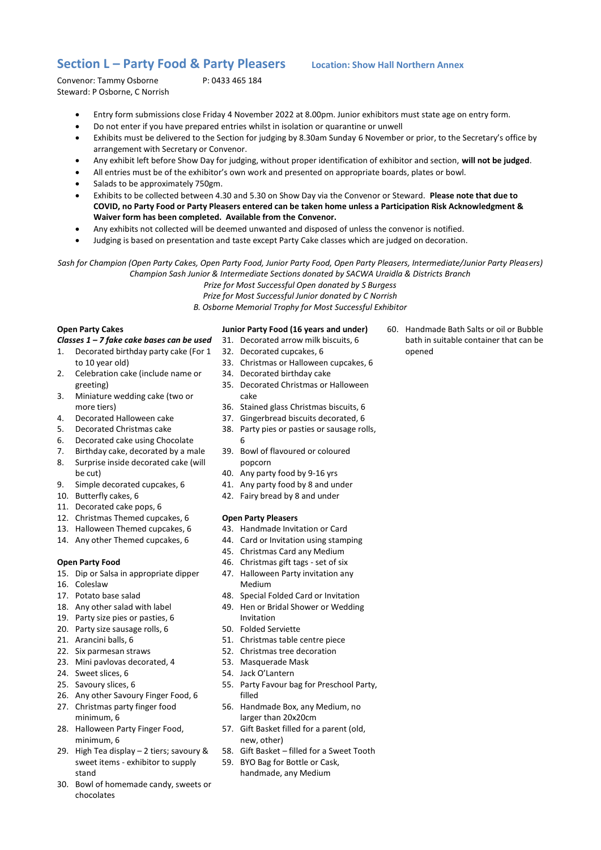# **Section L – Party Food & Party Pleasers Location: Show Hall Northern Annex**

Convenor: Tammy Osborne P: 0433 465 184 Steward: P Osborne, C Norrish

- Entry form submissions close Friday 4 November 2022 at 8.00pm. Junior exhibitors must state age on entry form.
- Do not enter if you have prepared entries whilst in isolation or quarantine or unwell
- Exhibits must be delivered to the Section for judging by 8.30am Sunday 6 November or prior, to the Secretary's office by arrangement with Secretary or Convenor.
- Any exhibit left before Show Day for judging, without proper identification of exhibitor and section, **will not be judged**.
- All entries must be of the exhibitor's own work and presented on appropriate boards, plates or bowl.
- Salads to be approximately 750gm.
- Exhibits to be collected between 4.30 and 5.30 on Show Day via the Convenor or Steward. **Please note that due to COVID, no Party Food or Party Pleasers entered can be taken home unless a Participation Risk Acknowledgment & Waiver form has been completed. Available from the Convenor.**
- Any exhibits not collected will be deemed unwanted and disposed of unless the convenor is notified.
- Judging is based on presentation and taste except Party Cake classes which are judged on decoration.

*Sash for Champion (Open Party Cakes, Open Party Food, Junior Party Food, Open Party Pleasers, Intermediate/Junior Party Pleasers) Champion Sash Junior & Intermediate Sections donated by SACWA Uraidla & Districts Branch*

*Prize for Most Successful Open donated by S Burgess*

*Prize for Most Successful Junior donated by C Norrish*

*B. Osborne Memorial Trophy for Most Successful Exhibitor*

## **Open Party Cakes**

*Classes 1 – 7 fake cake bases can be used*

- 1. Decorated birthday party cake (For 1 to 10 year old)
- 2. Celebration cake (include name or greeting)
- 3. Miniature wedding cake (two or more tiers)
- 4. Decorated Halloween cake
- 5. Decorated Christmas cake
- 6. Decorated cake using Chocolate
- 7. Birthday cake, decorated by a male
- 8. Surprise inside decorated cake (will be cut)
- 9. Simple decorated cupcakes, 6
- 10. Butterfly cakes, 6
- 11. Decorated cake pops, 6
- 12. Christmas Themed cupcakes, 6
- 13. Halloween Themed cupcakes, 6
- 14. Any other Themed cupcakes, 6

### **Open Party Food**

- 15. Dip or Salsa in appropriate dipper
- 16. Coleslaw
- 17. Potato base salad
- 18. Any other salad with label
- 19. Party size pies or pasties, 6
- 20. Party size sausage rolls, 6
- 21. Arancini balls, 6
- 22. Six parmesan straws
- 23. Mini pavlovas decorated, 4
- 24. Sweet slices, 6
- 25. Savoury slices, 6
- 26. Any other Savoury Finger Food, 6
- 27. Christmas party finger food minimum, 6
- 28. Halloween Party Finger Food, minimum, 6
- 29. High Tea display 2 tiers; savoury & sweet items - exhibitor to supply stand
- 30. Bowl of homemade candy, sweets or chocolates

#### **Junior Party Food (16 years and under)**

- 31. Decorated arrow milk biscuits, 6
- 32. Decorated cupcakes, 6
- 33. Christmas or Halloween cupcakes, 6
- 34. Decorated birthday cake
- 35. Decorated Christmas or Halloween cake
- 36. Stained glass Christmas biscuits, 6
- 37. Gingerbread biscuits decorated, 6
- 
- 38. Party pies or pasties or sausage rolls,
- 6 39. Bowl of flavoured or coloured popcorn
- 40. Any party food by 9-16 yrs
- 41. Any party food by 8 and under
- 42. Fairy bread by 8 and under

### **Open Party Pleasers**

- 43. Handmade Invitation or Card
- 44. Card or Invitation using stamping
- 45. Christmas Card any Medium
- 46. Christmas gift tags set of six
- 47. Halloween Party invitation any Medium
- 48. Special Folded Card or Invitation
- 49. Hen or Bridal Shower or Wedding Invitation
- 50. Folded Serviette
- 51. Christmas table centre piece
- 52. Christmas tree decoration
- 53. Masquerade Mask
- 54. Jack O'Lantern
- 55. Party Favour bag for Preschool Party, filled
- 56. Handmade Box, any Medium, no larger than 20x20cm
- 57. Gift Basket filled for a parent (old, new, other)
- 58. Gift Basket filled for a Sweet Tooth
- 59. BYO Bag for Bottle or Cask, handmade, any Medium
- 60. Handmade Bath Salts or oil or Bubble bath in suitable container that can be opened
- 
- 
- 
-